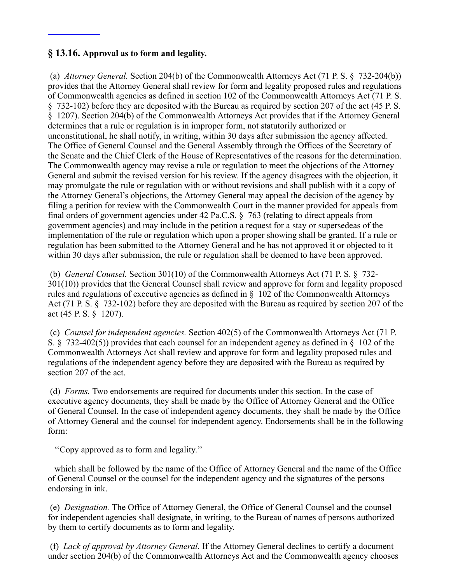## **§ 13.16. Approval as to form and legality.**

 (a) *Attorney General.* Section 204(b) of the Commonwealth Attorneys Act (71 P. S. § 732-204(b)) provides that the Attorney General shall review for form and legality proposed rules and regulations of Commonwealth agencies as defined in section 102 of the Commonwealth Attorneys Act (71 P. S. § 732-102) before they are deposited with the Bureau as required by section 207 of the act (45 P. S. § 1207). Section 204(b) of the Commonwealth Attorneys Act provides that if the Attorney General determines that a rule or regulation is in improper form, not statutorily authorized or unconstitutional, he shall notify, in writing, within 30 days after submission the agency affected. The Office of General Counsel and the General Assembly through the Offices of the Secretary of the Senate and the Chief Clerk of the House of Representatives of the reasons for the determination. The Commonwealth agency may revise a rule or regulation to meet the objections of the Attorney General and submit the revised version for his review. If the agency disagrees with the objection, it may promulgate the rule or regulation with or without revisions and shall publish with it a copy of the Attorney General's objections, the Attorney General may appeal the decision of the agency by filing a petition for review with the Commonwealth Court in the manner provided for appeals from final orders of government agencies under 42 Pa.C.S. § 763 (relating to direct appeals from government agencies) and may include in the petition a request for a stay or supersedeas of the implementation of the rule or regulation which upon a proper showing shall be granted. If a rule or regulation has been submitted to the Attorney General and he has not approved it or objected to it within 30 days after submission, the rule or regulation shall be deemed to have been approved.

 (b) *General Counsel.* Section 301(10) of the Commonwealth Attorneys Act (71 P. S. § 732- 301(10)) provides that the General Counsel shall review and approve for form and legality proposed rules and regulations of executive agencies as defined in § 102 of the Commonwealth Attorneys Act (71 P. S. § 732-102) before they are deposited with the Bureau as required by section 207 of the act (45 P. S. § 1207).

 (c) *Counsel for independent agencies.* Section 402(5) of the Commonwealth Attorneys Act (71 P. S. § 732-402(5)) provides that each counsel for an independent agency as defined in § 102 of the Commonwealth Attorneys Act shall review and approve for form and legality proposed rules and regulations of the independent agency before they are deposited with the Bureau as required by section 207 of the act.

 (d) *Forms.* Two endorsements are required for documents under this section. In the case of executive agency documents, they shall be made by the Office of Attorney General and the Office of General Counsel. In the case of independent agency documents, they shall be made by the Office of Attorney General and the counsel for independent agency. Endorsements shall be in the following form:

''Copy approved as to form and legality.''

 which shall be followed by the name of the Office of Attorney General and the name of the Office of General Counsel or the counsel for the independent agency and the signatures of the persons endorsing in ink.

 (e) *Designation.* The Office of Attorney General, the Office of General Counsel and the counsel for independent agencies shall designate, in writing, to the Bureau of names of persons authorized by them to certify documents as to form and legality.

 (f) *Lack of approval by Attorney General.* If the Attorney General declines to certify a document under section 204(b) of the Commonwealth Attorneys Act and the Commonwealth agency chooses